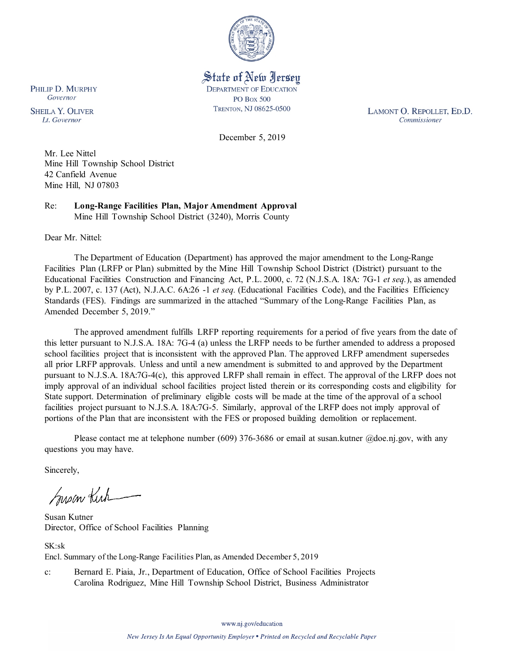

State of New Jersey **DEPARTMENT OF EDUCATION PO Box 500** TRENTON, NJ 08625-0500

LAMONT O. REPOLLET, ED.D. Commissioner

December 5, 2019

Mr. Lee Nittel Mine Hill Township School District 42 Canfield Avenue Mine Hill, NJ 07803

Re: **Long-Range Facilities Plan, Major Amendment Approval** Mine Hill Township School District (3240), Morris County

Dear Mr. Nittel:

PHILIP D. MURPHY Governor

**SHEILA Y. OLIVER** 

Lt. Governor

The Department of Education (Department) has approved the major amendment to the Long-Range Facilities Plan (LRFP or Plan) submitted by the Mine Hill Township School District (District) pursuant to the Educational Facilities Construction and Financing Act, P.L. 2000, c. 72 (N.J.S.A. 18A: 7G-1 *et seq.*), as amended by P.L. 2007, c. 137 (Act), N.J.A.C. 6A:26 -1 *et seq.* (Educational Facilities Code), and the Facilities Efficiency Standards (FES). Findings are summarized in the attached "Summary of the Long-Range Facilities Plan, as Amended December 5, 2019."

The approved amendment fulfills LRFP reporting requirements for a period of five years from the date of this letter pursuant to N.J.S.A. 18A: 7G-4 (a) unless the LRFP needs to be further amended to address a proposed school facilities project that is inconsistent with the approved Plan. The approved LRFP amendment supersedes all prior LRFP approvals. Unless and until a new amendment is submitted to and approved by the Department pursuant to N.J.S.A. 18A:7G-4(c), this approved LRFP shall remain in effect. The approval of the LRFP does not imply approval of an individual school facilities project listed therein or its corresponding costs and eligibility for State support. Determination of preliminary eligible costs will be made at the time of the approval of a school facilities project pursuant to N.J.S.A. 18A:7G-5. Similarly, approval of the LRFP does not imply approval of portions of the Plan that are inconsistent with the FES or proposed building demolition or replacement.

Please contact me at telephone number (609) 376-3686 or email at susan.kutner @doe.nj.gov, with any questions you may have.

Sincerely,

Susan Kich

Susan Kutner Director, Office of School Facilities Planning

SK:sk Encl. Summary of the Long-Range Facilities Plan, as Amended December 5, 2019

c: Bernard E. Piaia, Jr., Department of Education, Office of School Facilities Projects Carolina Rodriguez, Mine Hill Township School District, Business Administrator

www.nj.gov/education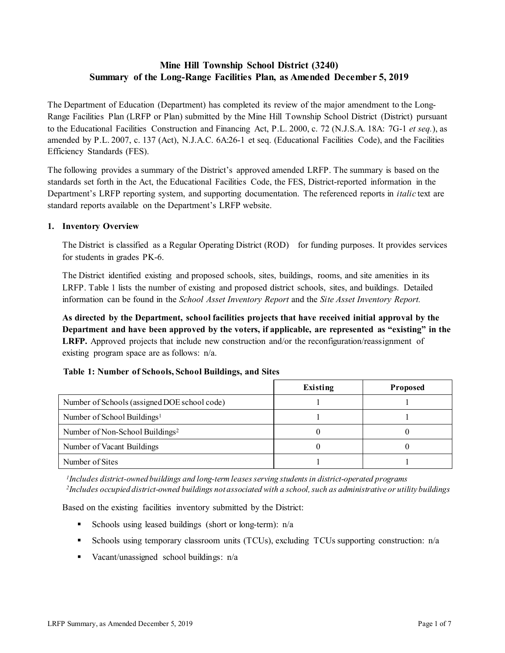# **Mine Hill Township School District (3240) Summary of the Long-Range Facilities Plan, as Amended December 5, 2019**

The Department of Education (Department) has completed its review of the major amendment to the Long-Range Facilities Plan (LRFP or Plan) submitted by the Mine Hill Township School District (District) pursuant to the Educational Facilities Construction and Financing Act, P.L. 2000, c. 72 (N.J.S.A. 18A: 7G-1 *et seq.*), as amended by P.L. 2007, c. 137 (Act), N.J.A.C. 6A:26-1 et seq. (Educational Facilities Code), and the Facilities Efficiency Standards (FES).

The following provides a summary of the District's approved amended LRFP. The summary is based on the standards set forth in the Act, the Educational Facilities Code, the FES, District-reported information in the Department's LRFP reporting system, and supporting documentation. The referenced reports in *italic* text are standard reports available on the Department's LRFP website.

## **1. Inventory Overview**

The District is classified as a Regular Operating District (ROD) for funding purposes. It provides services for students in grades PK-6.

The District identified existing and proposed schools, sites, buildings, rooms, and site amenities in its LRFP. Table 1 lists the number of existing and proposed district schools, sites, and buildings. Detailed information can be found in the *School Asset Inventory Report* and the *Site Asset Inventory Report.*

**As directed by the Department, school facilities projects that have received initial approval by the Department and have been approved by the voters, if applicable, are represented as "existing" in the LRFP.** Approved projects that include new construction and/or the reconfiguration/reassignment of existing program space are as follows: n/a.

|                                              | Existing | <b>Proposed</b> |
|----------------------------------------------|----------|-----------------|
| Number of Schools (assigned DOE school code) |          |                 |
| Number of School Buildings <sup>1</sup>      |          |                 |
| Number of Non-School Buildings <sup>2</sup>  |          |                 |
| Number of Vacant Buildings                   |          |                 |
| Number of Sites                              |          |                 |

## **Table 1: Number of Schools, School Buildings, and Sites**

*1Includes district-owned buildings and long-term leases serving students in district-operated programs 2Includes occupied district-owned buildings not associated with a school, such as administrative or utility buildings*

Based on the existing facilities inventory submitted by the District:

- Schools using leased buildings (short or long-term):  $n/a$
- Schools using temporary classroom units (TCUs), excluding TCUs supporting construction: n/a
- Vacant/unassigned school buildings: n/a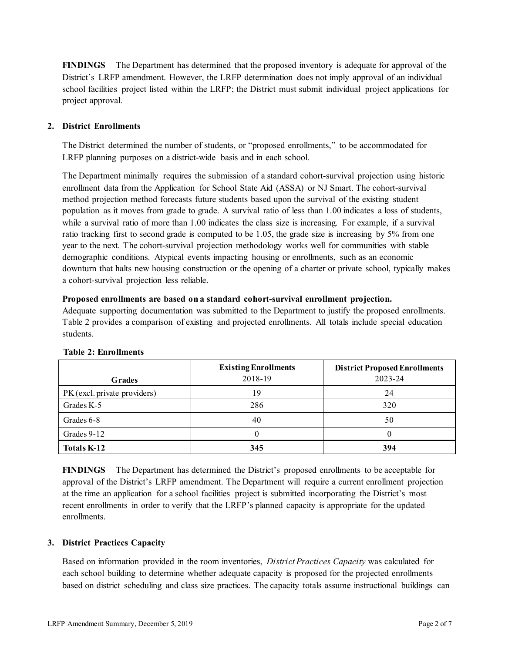**FINDINGS** The Department has determined that the proposed inventory is adequate for approval of the District's LRFP amendment. However, the LRFP determination does not imply approval of an individual school facilities project listed within the LRFP; the District must submit individual project applications for project approval.

## **2. District Enrollments**

The District determined the number of students, or "proposed enrollments," to be accommodated for LRFP planning purposes on a district-wide basis and in each school.

The Department minimally requires the submission of a standard cohort-survival projection using historic enrollment data from the Application for School State Aid (ASSA) or NJ Smart. The cohort-survival method projection method forecasts future students based upon the survival of the existing student population as it moves from grade to grade. A survival ratio of less than 1.00 indicates a loss of students, while a survival ratio of more than 1.00 indicates the class size is increasing. For example, if a survival ratio tracking first to second grade is computed to be 1.05, the grade size is increasing by 5% from one year to the next. The cohort-survival projection methodology works well for communities with stable demographic conditions. Atypical events impacting housing or enrollments, such as an economic downturn that halts new housing construction or the opening of a charter or private school, typically makes a cohort-survival projection less reliable.

## **Proposed enrollments are based on a standard cohort-survival enrollment projection.**

Adequate supporting documentation was submitted to the Department to justify the proposed enrollments. Table 2 provides a comparison of existing and projected enrollments. All totals include special education students.

|                              | <b>Existing Enrollments</b> | <b>District Proposed Enrollments</b> |  |  |
|------------------------------|-----------------------------|--------------------------------------|--|--|
| <b>Grades</b>                | 2018-19                     | 2023-24                              |  |  |
| PK (excl. private providers) | 19                          | 24                                   |  |  |
| Grades K-5                   | 286                         | 320                                  |  |  |
| Grades 6-8                   | 40                          | 50                                   |  |  |
| Grades 9-12                  |                             |                                      |  |  |
| <b>Totals K-12</b>           | 345                         | 394                                  |  |  |

## **Table 2: Enrollments**

**FINDINGS** The Department has determined the District's proposed enrollments to be acceptable for approval of the District's LRFP amendment. The Department will require a current enrollment projection at the time an application for a school facilities project is submitted incorporating the District's most recent enrollments in order to verify that the LRFP's planned capacity is appropriate for the updated enrollments.

## **3. District Practices Capacity**

Based on information provided in the room inventories, *District Practices Capacity* was calculated for each school building to determine whether adequate capacity is proposed for the projected enrollments based on district scheduling and class size practices. The capacity totals assume instructional buildings can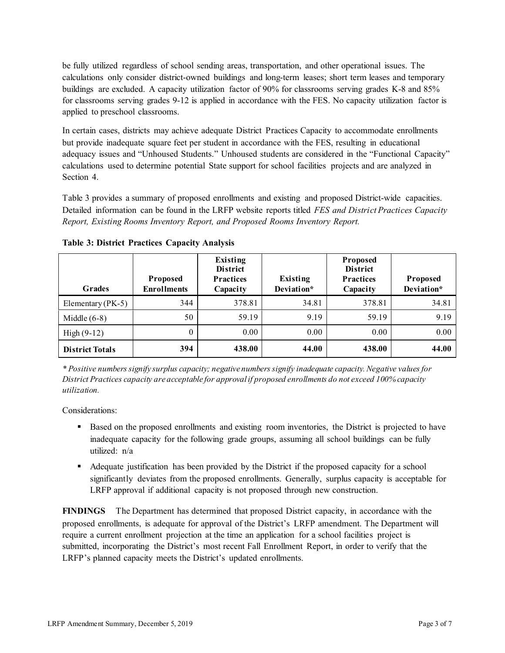be fully utilized regardless of school sending areas, transportation, and other operational issues. The calculations only consider district-owned buildings and long-term leases; short term leases and temporary buildings are excluded. A capacity utilization factor of 90% for classrooms serving grades K-8 and 85% for classrooms serving grades 9-12 is applied in accordance with the FES. No capacity utilization factor is applied to preschool classrooms.

In certain cases, districts may achieve adequate District Practices Capacity to accommodate enrollments but provide inadequate square feet per student in accordance with the FES, resulting in educational adequacy issues and "Unhoused Students." Unhoused students are considered in the "Functional Capacity" calculations used to determine potential State support for school facilities projects and are analyzed in Section 4.

Table 3 provides a summary of proposed enrollments and existing and proposed District-wide capacities. Detailed information can be found in the LRFP website reports titled *FES and District Practices Capacity Report, Existing Rooms Inventory Report, and Proposed Rooms Inventory Report.*

| <b>Grades</b>          | <b>Proposed</b><br><b>Enrollments</b> | Existing<br><b>District</b><br><b>Practices</b><br>Capacity | Existing<br>Deviation* | Proposed<br><b>District</b><br><b>Practices</b><br>Capacity | <b>Proposed</b><br>Deviation* |
|------------------------|---------------------------------------|-------------------------------------------------------------|------------------------|-------------------------------------------------------------|-------------------------------|
| Elementary ( $PK-5$ )  | 344                                   | 378.81                                                      | 34.81                  | 378.81                                                      | 34.81                         |
| Middle $(6-8)$         | 50                                    | 59.19                                                       | 9.19                   | 59.19                                                       | 9.19                          |
| High $(9-12)$          | $\theta$                              | 0.00                                                        | $0.00\,$               | 0.00                                                        | 0.00                          |
| <b>District Totals</b> | 394                                   | 438.00                                                      | 44.00                  | 438.00                                                      | 44.00                         |

**Table 3: District Practices Capacity Analysis**

*\* Positive numbers signify surplus capacity; negative numbers signify inadequate capacity. Negative values for District Practices capacity are acceptable for approvalif proposed enrollments do not exceed 100% capacity utilization.*

Considerations:

- Based on the proposed enrollments and existing room inventories, the District is projected to have inadequate capacity for the following grade groups, assuming all school buildings can be fully utilized: n/a
- Adequate justification has been provided by the District if the proposed capacity for a school significantly deviates from the proposed enrollments. Generally, surplus capacity is acceptable for LRFP approval if additional capacity is not proposed through new construction.

**FINDINGS**The Department has determined that proposed District capacity, in accordance with the proposed enrollments, is adequate for approval of the District's LRFP amendment. The Department will require a current enrollment projection at the time an application for a school facilities project is submitted, incorporating the District's most recent Fall Enrollment Report, in order to verify that the LRFP's planned capacity meets the District's updated enrollments.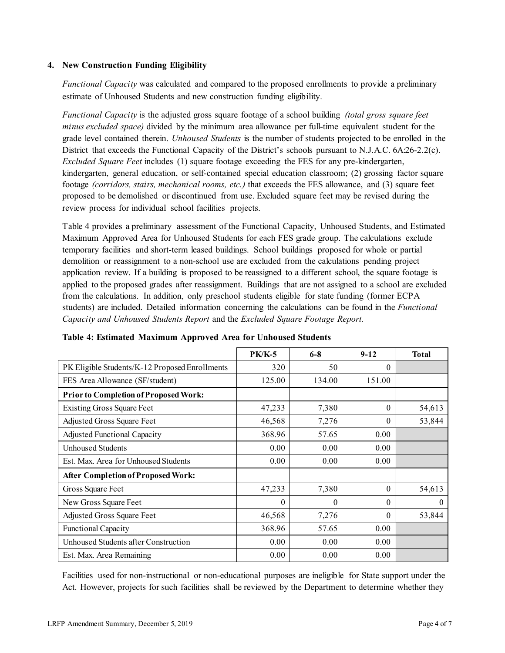## **4. New Construction Funding Eligibility**

*Functional Capacity* was calculated and compared to the proposed enrollments to provide a preliminary estimate of Unhoused Students and new construction funding eligibility.

*Functional Capacity* is the adjusted gross square footage of a school building *(total gross square feet minus excluded space)* divided by the minimum area allowance per full-time equivalent student for the grade level contained therein. *Unhoused Students* is the number of students projected to be enrolled in the District that exceeds the Functional Capacity of the District's schools pursuant to N.J.A.C. 6A:26-2.2(c). *Excluded Square Feet* includes (1) square footage exceeding the FES for any pre-kindergarten, kindergarten, general education, or self-contained special education classroom; (2) grossing factor square footage *(corridors, stairs, mechanical rooms, etc.)* that exceeds the FES allowance, and (3) square feet proposed to be demolished or discontinued from use. Excluded square feet may be revised during the review process for individual school facilities projects.

Table 4 provides a preliminary assessment of the Functional Capacity, Unhoused Students, and Estimated Maximum Approved Area for Unhoused Students for each FES grade group. The calculations exclude temporary facilities and short-term leased buildings. School buildings proposed for whole or partial demolition or reassignment to a non-school use are excluded from the calculations pending project application review. If a building is proposed to be reassigned to a different school, the square footage is applied to the proposed grades after reassignment. Buildings that are not assigned to a school are excluded from the calculations. In addition, only preschool students eligible for state funding (former ECPA students) are included. Detailed information concerning the calculations can be found in the *Functional Capacity and Unhoused Students Report* and the *Excluded Square Footage Report.*

|                                                | <b>PK/K-5</b> | $6 - 8$ | $9 - 12$ | <b>Total</b> |
|------------------------------------------------|---------------|---------|----------|--------------|
| PK Eligible Students/K-12 Proposed Enrollments | 320           | 50      | 0        |              |
| FES Area Allowance (SF/student)                | 125.00        | 134.00  | 151.00   |              |
| Prior to Completion of Proposed Work:          |               |         |          |              |
| <b>Existing Gross Square Feet</b>              | 47,233        | 7,380   | $\theta$ | 54,613       |
| Adjusted Gross Square Feet                     | 46,568        | 7,276   | $\theta$ | 53,844       |
| <b>Adjusted Functional Capacity</b>            | 368.96        | 57.65   | 0.00     |              |
| <b>Unhoused Students</b>                       | 0.00          | 0.00    | 0.00     |              |
| Est. Max. Area for Unhoused Students           | 0.00          | 0.00    | 0.00     |              |
| <b>After Completion of Proposed Work:</b>      |               |         |          |              |
| Gross Square Feet                              | 47,233        | 7,380   | $\theta$ | 54,613       |
| New Gross Square Feet                          | 0             | 0       | $\theta$ | $\theta$     |
| Adjusted Gross Square Feet                     | 46,568        | 7,276   | $\Omega$ | 53,844       |
| <b>Functional Capacity</b>                     | 368.96        | 57.65   | 0.00     |              |
| Unhoused Students after Construction           | 0.00          | 0.00    | 0.00     |              |
| Est. Max. Area Remaining                       | 0.00          | 0.00    | 0.00     |              |

|  | Table 4: Estimated Maximum Approved Area for Unhoused Students |  |  |  |
|--|----------------------------------------------------------------|--|--|--|
|  |                                                                |  |  |  |

Facilities used for non-instructional or non-educational purposes are ineligible for State support under the Act. However, projects for such facilities shall be reviewed by the Department to determine whether they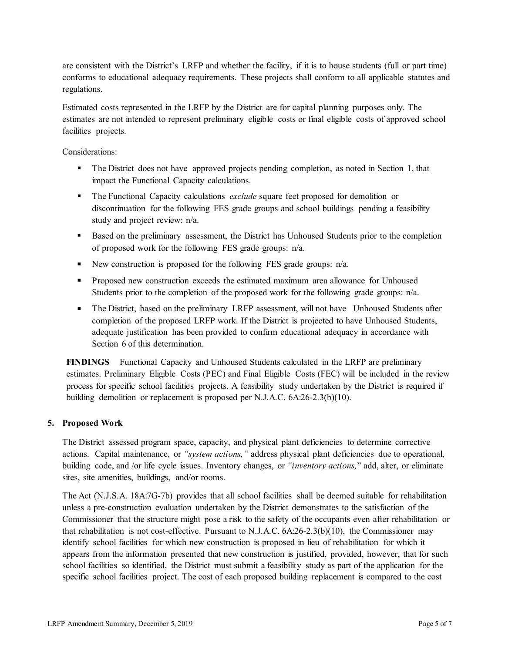are consistent with the District's LRFP and whether the facility, if it is to house students (full or part time) conforms to educational adequacy requirements. These projects shall conform to all applicable statutes and regulations.

Estimated costs represented in the LRFP by the District are for capital planning purposes only. The estimates are not intended to represent preliminary eligible costs or final eligible costs of approved school facilities projects.

Considerations:

- The District does not have approved projects pending completion, as noted in Section 1, that impact the Functional Capacity calculations.
- The Functional Capacity calculations *exclude* square feet proposed for demolition or discontinuation for the following FES grade groups and school buildings pending a feasibility study and project review: n/a.
- Based on the preliminary assessment, the District has Unhoused Students prior to the completion of proposed work for the following FES grade groups: n/a.
- New construction is proposed for the following FES grade groups:  $n/a$ .
- Proposed new construction exceeds the estimated maximum area allowance for Unhoused Students prior to the completion of the proposed work for the following grade groups: n/a.
- The District, based on the preliminary LRFP assessment, will not have Unhoused Students after completion of the proposed LRFP work. If the District is projected to have Unhoused Students, adequate justification has been provided to confirm educational adequacy in accordance with Section 6 of this determination.

**FINDINGS** Functional Capacity and Unhoused Students calculated in the LRFP are preliminary estimates. Preliminary Eligible Costs (PEC) and Final Eligible Costs (FEC) will be included in the review process for specific school facilities projects. A feasibility study undertaken by the District is required if building demolition or replacement is proposed per N.J.A.C. 6A:26-2.3(b)(10).

## **5. Proposed Work**

The District assessed program space, capacity, and physical plant deficiencies to determine corrective actions. Capital maintenance, or *"system actions,"* address physical plant deficiencies due to operational, building code, and /or life cycle issues. Inventory changes, or *"inventory actions,*" add, alter, or eliminate sites, site amenities, buildings, and/or rooms.

The Act (N.J.S.A. 18A:7G-7b) provides that all school facilities shall be deemed suitable for rehabilitation unless a pre-construction evaluation undertaken by the District demonstrates to the satisfaction of the Commissioner that the structure might pose a risk to the safety of the occupants even after rehabilitation or that rehabilitation is not cost-effective. Pursuant to N.J.A.C. 6A:26-2.3(b)(10), the Commissioner may identify school facilities for which new construction is proposed in lieu of rehabilitation for which it appears from the information presented that new construction is justified, provided, however, that for such school facilities so identified, the District must submit a feasibility study as part of the application for the specific school facilities project. The cost of each proposed building replacement is compared to the cost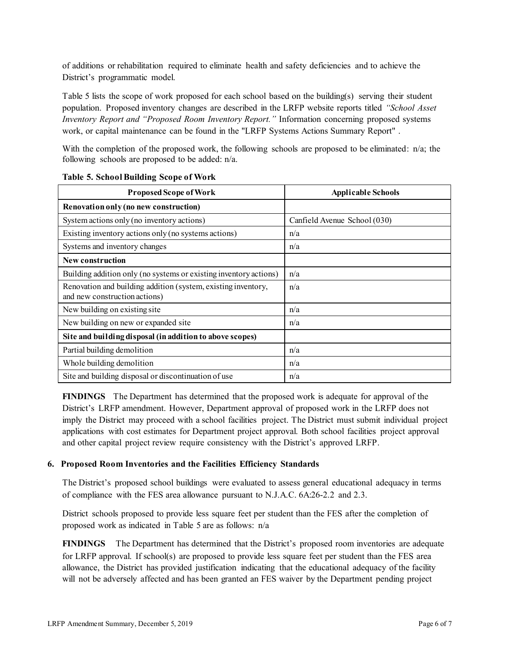of additions or rehabilitation required to eliminate health and safety deficiencies and to achieve the District's programmatic model.

Table 5 lists the scope of work proposed for each school based on the building(s) serving their student population. Proposed inventory changes are described in the LRFP website reports titled *"School Asset Inventory Report and "Proposed Room Inventory Report."* Information concerning proposed systems work, or capital maintenance can be found in the "LRFP Systems Actions Summary Report" .

With the completion of the proposed work, the following schools are proposed to be eliminated: n/a; the following schools are proposed to be added: n/a.

| <b>Proposed Scope of Work</b>                                                                  | <b>Applicable Schools</b>    |  |  |
|------------------------------------------------------------------------------------------------|------------------------------|--|--|
| Renovation only (no new construction)                                                          |                              |  |  |
| System actions only (no inventory actions)                                                     | Canfield Avenue School (030) |  |  |
| Existing inventory actions only (no systems actions)                                           | n/a                          |  |  |
| Systems and inventory changes                                                                  | n/a                          |  |  |
| <b>New construction</b>                                                                        |                              |  |  |
| Building addition only (no systems or existing inventory actions)                              | n/a                          |  |  |
| Renovation and building addition (system, existing inventory,<br>and new construction actions) | n/a                          |  |  |
| New building on existing site                                                                  | n/a                          |  |  |
| New building on new or expanded site                                                           | n/a                          |  |  |
| Site and building disposal (in addition to above scopes)                                       |                              |  |  |
| Partial building demolition                                                                    | n/a                          |  |  |
| Whole building demolition                                                                      | n/a                          |  |  |
| Site and building disposal or discontinuation of use                                           | n/a                          |  |  |

#### **Table 5. School Building Scope of Work**

**FINDINGS** The Department has determined that the proposed work is adequate for approval of the District's LRFP amendment. However, Department approval of proposed work in the LRFP does not imply the District may proceed with a school facilities project. The District must submit individual project applications with cost estimates for Department project approval. Both school facilities project approval and other capital project review require consistency with the District's approved LRFP.

## **6. Proposed Room Inventories and the Facilities Efficiency Standards**

The District's proposed school buildings were evaluated to assess general educational adequacy in terms of compliance with the FES area allowance pursuant to N.J.A.C. 6A:26-2.2 and 2.3.

District schools proposed to provide less square feet per student than the FES after the completion of proposed work as indicated in Table 5 are as follows: n/a

**FINDINGS** The Department has determined that the District's proposed room inventories are adequate for LRFP approval. If school(s) are proposed to provide less square feet per student than the FES area allowance, the District has provided justification indicating that the educational adequacy of the facility will not be adversely affected and has been granted an FES waiver by the Department pending project